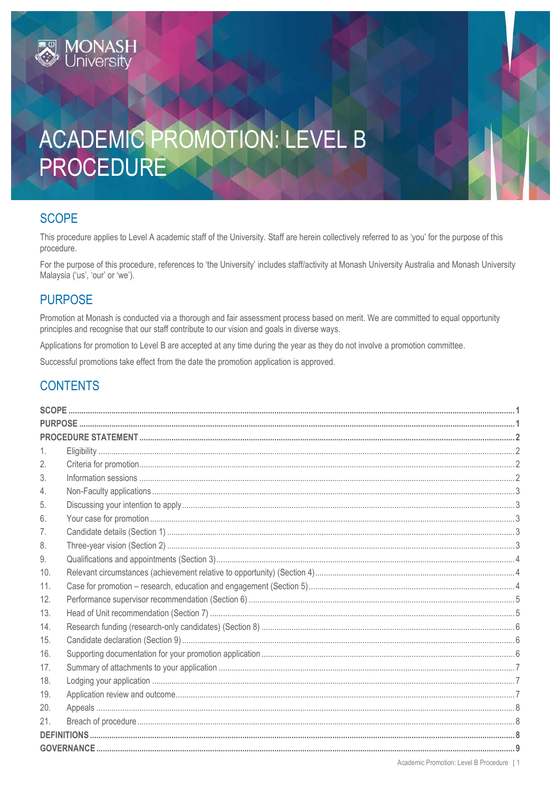# ACADEMIC PROMOTION: LEVEL B PROCEDURE

# <span id="page-0-0"></span>**SCOPE**

**IONASH**<br>niversitv

This procedure applies to Level A academic staff of the University. Staff are herein collectively referred to as 'you' for the purpose of this procedure.

For the purpose of this procedure, references to 'the University' includes staff/activity at Monash University Australia and Monash University Malaysia ('us', 'our' or 'we').

# <span id="page-0-1"></span>**PURPOSE**

Promotion at Monash is conducted via a thorough and fair assessment process based on merit. We are committed to equal opportunity principles and recognise that our staff contribute to our vision and goals in diverse ways.

Applications for promotion to Level B are accepted at any time during the year as they do not involve a promotion committee.

Successful promotions take effect from the date the promotion application is approved.

# **CONTENTS**

<span id="page-0-2"></span>

| 1.  |  |  |  |  |
|-----|--|--|--|--|
| 2.  |  |  |  |  |
| 3.  |  |  |  |  |
| 4.  |  |  |  |  |
| 5.  |  |  |  |  |
| 6.  |  |  |  |  |
| 7.  |  |  |  |  |
| 8.  |  |  |  |  |
| 9.  |  |  |  |  |
| 10. |  |  |  |  |
| 11. |  |  |  |  |
| 12. |  |  |  |  |
| 13. |  |  |  |  |
| 14. |  |  |  |  |
| 15. |  |  |  |  |
| 16. |  |  |  |  |
| 17. |  |  |  |  |
| 18. |  |  |  |  |
| 19. |  |  |  |  |
| 20. |  |  |  |  |
| 21. |  |  |  |  |
|     |  |  |  |  |
|     |  |  |  |  |
|     |  |  |  |  |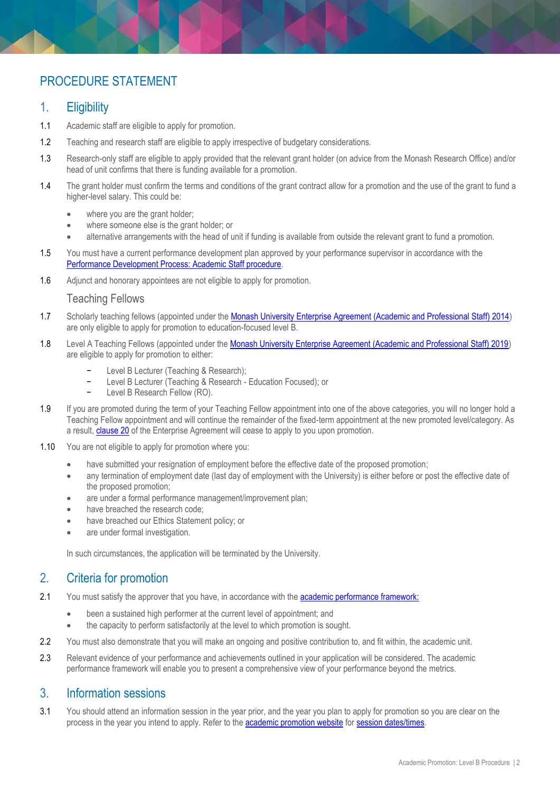# PROCEDURE STATEMENT

## <span id="page-1-0"></span>1. Eligibility

- 1.1 Academic staff are eligible to apply for promotion.
- 1.2 Teaching and research staff are eligible to apply irrespective of budgetary considerations.
- 1.3 Research-only staff are eligible to apply provided that the relevant grant holder (on advice from the Monash Research Office) and/or head of unit confirms that there is funding available for a promotion.
- 1.4 The grant holder must confirm the terms and conditions of the grant contract allow for a promotion and the use of the grant to fund a higher-level salary. This could be:
	- where you are the grant holder;
	- where someone else is the grant holder; or
	- alternative arrangements with the head of unit if funding is available from outside the relevant grant to fund a promotion.
- 1.5 You must have a current performance development plan approved by your performance supervisor in accordance with the [Performance Development Process: Academic Staff procedure.](https://www.monash.edu/__data/assets/pdf_file/0009/799389/Performance-Development-Process-academic-staff.pdf)
- 1.6 Adjunct and honorary appointees are not eligible to apply for promotion.

#### Teaching Fellows

- 1.7 Scholarly teaching fellows (appointed under th[e Monash University Enterprise Agreement \(Academic and Professional Staff\) 2014\)](https://www.monash.edu/current-enterprise-agreements/academic-professional-2014/17) are only eligible to apply for promotion to education-focused level B.
- 1.8 Level A Teaching Fellows (appointed under the Monash University Enterprise Agreement (Academic and Professional Staff) 2019) are eligible to apply for promotion to either:
	- Level B Lecturer (Teaching & Research);
	- Level B Lecturer (Teaching & Research Education Focused); or
	- Level B Research Fellow (RO).
- 1.9 If you are promoted during the term of your Teaching Fellow appointment into one of the above categories, you will no longer hold a Teaching Fellow appointment and will continue the remainder of the fixed-term appointment at the new promoted level/category. As a result[, clause 20](https://www.monash.edu/current-enterprise-agreements/academic-professional-2019#20) of the Enterprise Agreement will cease to apply to you upon promotion.
- 1.10 You are not eligible to apply for promotion where you:
	- have submitted your resignation of employment before the effective date of the proposed promotion;
	- any termination of employment date (last day of employment with the University) is either before or post the effective date of the proposed promotion;
	- are under a formal performance management/improvement plan;
	- have breached the research code;
	- have breached our Ethics Statement policy; or
	- are under formal investigation.

In such circumstances, the application will be terminated by the University.

## <span id="page-1-1"></span>2. Criteria for promotion

- 2.1 You must satisfy the approver that you have, in accordance with th[e academic performance framework:](https://www.monash.edu/academicpromotion/academic-performance-framework)
	- been a sustained high performer at the current level of appointment; and
	- the capacity to perform satisfactorily at the level to which promotion is sought.
- 2.2 You must also demonstrate that you will make an ongoing and positive contribution to, and fit within, the academic unit.
- 2.3 Relevant evidence of your performance and achievements outlined in your application will be considered. The academic performance framework will enable you to present a comprehensive view of your performance beyond the metrics.

### <span id="page-1-2"></span>3. Information sessions

<span id="page-1-3"></span>3.1 You should attend an information session in the year prior, and the year you plan to apply for promotion so you are clear on the process in the year you intend to apply. Refer to the **[academic promotion website](https://www.monash.edu/academicpromotion)** for session [dates/times.](https://www.monash.edu/academicpromotion/key-dates)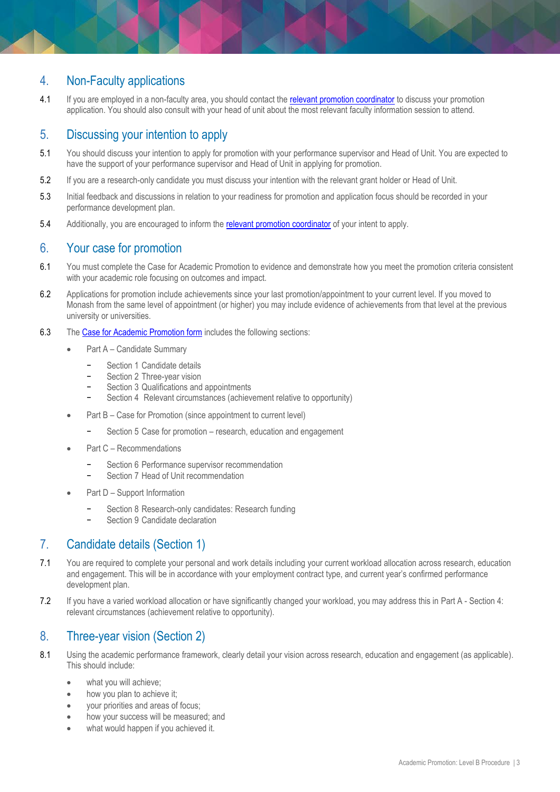# 4. Non-Faculty applications

4.1 If you are employed in a non-faculty area, you should contact the [relevant promotion coordinator](https://www.monash.edu/academicpromotion/contact-us) to discuss your promotion application. You should also consult with your head of unit about the most relevant faculty information session to attend.

# <span id="page-2-0"></span>5. Discussing your intention to apply

- 5.1 You should discuss your intention to apply for promotion with your performance supervisor and Head of Unit. You are expected to have the support of your performance supervisor and Head of Unit in applying for promotion.
- 5.2 If you are a research-only candidate you must discuss your intention with the relevant grant holder or Head of Unit.
- 5.3 Initial feedback and discussions in relation to your readiness for promotion and application focus should be recorded in your performance development plan.
- 5.4 Additionally, you are encouraged to inform the relevant [promotion coordinator](https://www.monash.edu/academicpromotion/contact-us) of your intent to apply.

## <span id="page-2-1"></span>6. Your case for promotion

- 6.1 You must complete the Case for Academic Promotion to evidence and demonstrate how you meet the promotion criteria consistent with your academic role focusing on outcomes and impact.
- 6.2 Applications for promotion include achievements since your last promotion/appointment to your current level. If you moved to Monash from the same level of appointment (or higher) you may include evidence of achievements from that level at the previous university or universities.
- 6.3 Th[e Case for Academic Promotion form](https://www.monash.edu/academicpromotion/forms,-procedures-and-guides) includes the following sections:
	- Part A Candidate Summary
		- Section 1 Candidate details
		- Section 2 Three-year vision
		- Section 3 Qualifications and appointments
		- Section 4 Relevant circumstances (achievement relative to opportunity)
	- Part B Case for Promotion (since appointment to current level)
		- − Section 5 Case for promotion research, education and engagement
	- Part C Recommendations
		- Section 6 Performance supervisor recommendation
		- − Section 7 Head of Unit recommendation
	- Part D Support Information
		- − Section 8 Research-only candidates: Research funding
		- − Section 9 Candidate declaration

## <span id="page-2-2"></span>7. Candidate details (Section 1)

- 7.1 You are required to complete your personal and work details including your current workload allocation across research, education and engagement. This will be in accordance with your employment contract type, and current year's confirmed performance development plan.
- 7.2 If you have a varied workload allocation or have significantly changed your workload, you may address this in Part A Section 4: relevant circumstances (achievement relative to opportunity).

## <span id="page-2-3"></span>8. Three-year vision (Section 2)

- 8.1 Using the academic performance framework, clearly detail your vision across research, education and engagement (as applicable). This should include:
	- what you will achieve;
	- how you plan to achieve it;
	- your priorities and areas of focus;
	- how your success will be measured; and
	- what would happen if you achieved it.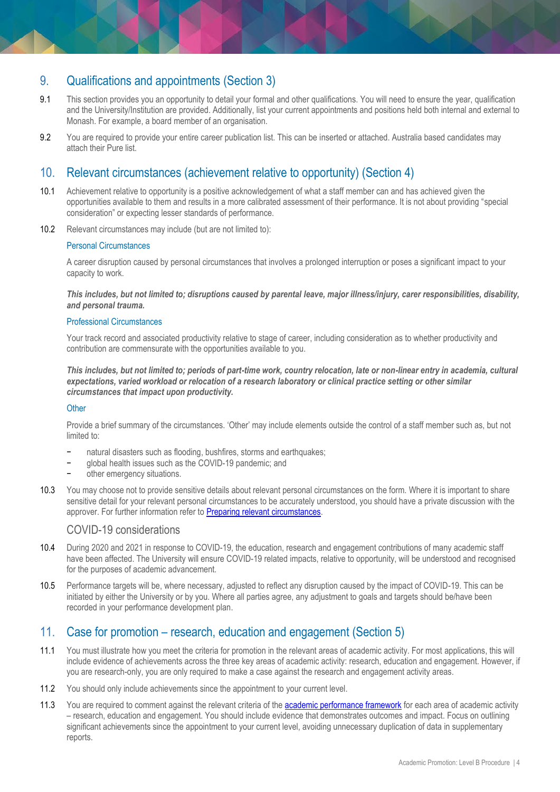# <span id="page-3-0"></span>9. Qualifications and appointments (Section 3)

- 9.1 This section provides you an opportunity to detail your formal and other qualifications. You will need to ensure the year, qualification and the University/Institution are provided. Additionally, list your current appointments and positions held both internal and external to Monash. For example, a board member of an organisation.
- 9.2 You are required to provide your entire career publication list. This can be inserted or attached. Australia based candidates may attach their Pure list.

## <span id="page-3-1"></span>10. Relevant circumstances (achievement relative to opportunity) (Section 4)

- 10.1 Achievement relative to opportunity is a positive acknowledgement of what a staff member can and has achieved given the opportunities available to them and results in a more calibrated assessment of their performance. It is not about providing "special consideration" or expecting lesser standards of performance.
- 10.2 Relevant circumstances may include (but are not limited to):

#### Personal Circumstances

A career disruption caused by personal circumstances that involves a prolonged interruption or poses a significant impact to your capacity to work.

*This includes, but not limited to; disruptions caused by parental leave, major illness/injury, carer responsibilities, disability, and personal trauma.*

#### Professional Circumstances

Your track record and associated productivity relative to stage of career, including consideration as to whether productivity and contribution are commensurate with the opportunities available to you.

*This includes, but not limited to; periods of part-time work, country relocation, late or non-linear entry in academia, cultural expectations, varied workload or relocation of a research laboratory or clinical practice setting or other similar circumstances that impact upon productivity.*

#### **Other**

Provide a brief summary of the circumstances. 'Other' may include elements outside the control of a staff member such as, but not limited to:

- natural disasters such as flooding, bushfires, storms and earthquakes;
- − global health issues such as the COVID-19 pandemic; and
- other emergency situations.
- 10.3 You may choose not to provide sensitive details about relevant personal circumstances on the form. Where it is important to share sensitive detail for your relevant personal circumstances to be accurately understood, you should have a private discussion with the approver. For further information refer to [Preparing relevant circumstances.](http://www.adm.monash.edu.au/human-resources/academic-promotion/rpc-suggestions.html)

## COVID-19 considerations

- 10.4 During 2020 and 2021 in response to COVID-19, the education, research and engagement contributions of many academic staff have been affected. The University will ensure COVID-19 related impacts, relative to opportunity, will be understood and recognised for the purposes of academic advancement.
- 10.5 Performance targets will be, where necessary, adjusted to reflect any disruption caused by the impact of COVID-19. This can be initiated by either the University or by you. Where all parties agree, any adjustment to goals and targets should be/have been recorded in your performance development plan.

## <span id="page-3-2"></span>11. Case for promotion – research, education and engagement (Section 5)

- 11.1 You must illustrate how you meet the criteria for promotion in the relevant areas of academic activity. For most applications, this will include evidence of achievements across the three key areas of academic activity: research, education and engagement. However, if you are research-only, you are only required to make a case against the research and engagement activity areas.
- 11.2 You should only include achievements since the appointment to your current level.
- 11.3 You are required to comment against the relevant criteria of the [academic performance framework](https://www.monash.edu/academicpromotion/academic-performance-framework) for each area of academic activity – research, education and engagement. You should include evidence that demonstrates outcomes and impact. Focus on outlining significant achievements since the appointment to your current level, avoiding unnecessary duplication of data in supplementary reports.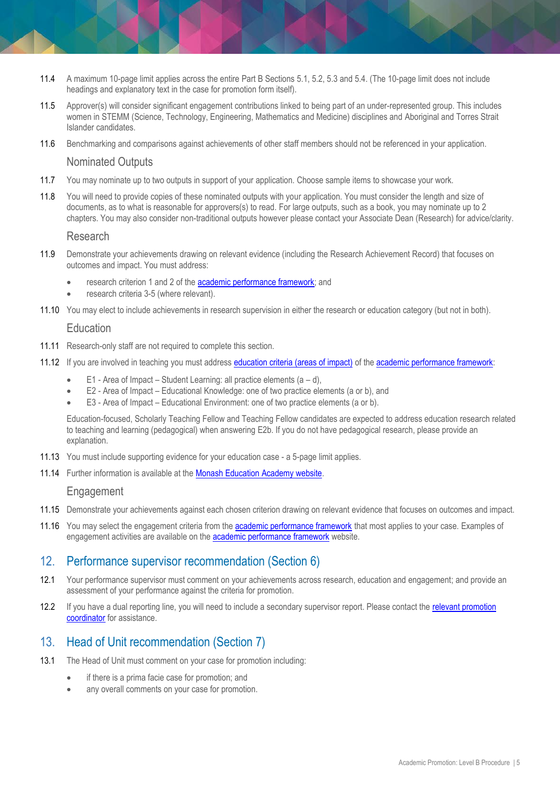- 11.4 A maximum 10-page limit applies across the entire Part B Sections 5.1, 5.2, 5.3 and 5.4. (The 10-page limit does not include headings and explanatory text in the case for promotion form itself).
- 11.5 Approver(s) will consider significant engagement contributions linked to being part of an under-represented group. This includes women in STEMM (Science, Technology, Engineering, Mathematics and Medicine) disciplines and Aboriginal and Torres Strait Islander candidates.
- 11.6 Benchmarking and comparisons against achievements of other staff members should not be referenced in your application.

#### Nominated Outputs

- 11.7 You may nominate up to two outputs in support of your application. Choose sample items to showcase your work.
- 11.8 You will need to provide copies of these nominated outputs with your application. You must consider the length and size of documents, as to what is reasonable for approvers(s) to read. For large outputs, such as a book, you may nominate up to 2 chapters. You may also consider non-traditional outputs however please contact your Associate Dean (Research) for advice/clarity.

#### Research

- 11.9 Demonstrate your achievements drawing on relevant evidence (including the Research Achievement Record) that focuses on outcomes and impact. You must address:
	- research criterion 1 and 2 of the [academic performance framework;](https://www.monash.edu/academicpromotion/academic-performance-framework) and
	- research criteria 3-5 (where relevant).
- 11.10 You may elect to include achievements in research supervision in either the research or education category (but not in both).

#### **Education**

- 11.11 Research-only staff are not required to complete this section.
- 11.12 If you are involved in teaching you must addres[s education criteria \(areas of impact\)](https://www.monash.edu/academicpromotion/academic-performance-framework) of the [academic performance framework:](https://www.monash.edu/academicpromotion/academic-performance-framework)
	- E1 Area of Impact Student Learning: all practice elements  $(a d)$ ,
	- E2 Area of Impact Educational Knowledge: one of two practice elements (a or b), and
	- E3 Area of Impact Educational Environment: one of two practice elements (a or b).

Education-focused, Scholarly Teaching Fellow and Teaching Fellow candidates are expected to address education research related to teaching and learning (pedagogical) when answering E2b. If you do not have pedagogical research, please provide an explanation.

- 11.13 You must include supporting evidence for your education case a 5-page limit applies.
- 11.14 Further information is available at the [Monash Education Academy website.](https://www.monash.edu/learning-teaching/mea/professional-learning-and-practice/peer-review)

#### <span id="page-4-0"></span>**Engagement**

- 11.15 Demonstrate your achievements against each chosen criterion drawing on relevant evidence that focuses on outcomes and impact.
- 11.16 You may select the engagement criteria from the [academic performance framework](https://www.monash.edu/academicpromotion/academic-performance-framework) that most applies to your case. Examples of engagement activities are available on the [academic performance framework](https://www.monash.edu/academicpromotion/academic-performance-framework) website.

## 12. Performance supervisor recommendation (Section 6)

- 12.1 Your performance supervisor must comment on your achievements across research, education and engagement; and provide an assessment of your performance against the criteria for promotion.
- 12.2 If you have a dual reporting line, you will need to include a secondary supervisor report. Please contact the relevant promotion [coordinator](https://www.monash.edu/academicpromotion/contact-us) for assistance.

## <span id="page-4-1"></span>13. Head of Unit recommendation (Section 7)

- <span id="page-4-2"></span>13.1 The Head of Unit must comment on your case for promotion including:
	- if there is a prima facie case for promotion; and
	- any overall comments on your case for promotion.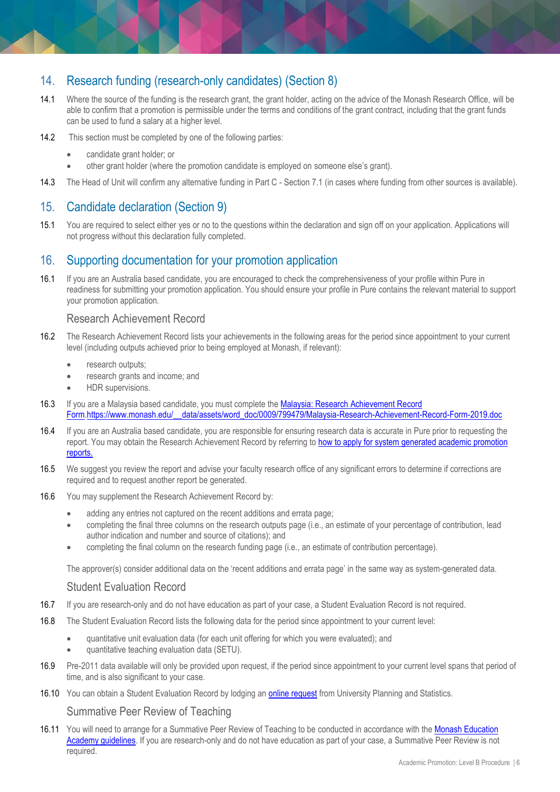# 14. Research funding (research-only candidates) (Section 8)

- 14.1 Where the source of the funding is the research grant, the grant holder, acting on the advice of the Monash Research Office, will be able to confirm that a promotion is permissible under the terms and conditions of the grant contract, including that the grant funds can be used to fund a salary at a higher level.
- 14.2 This section must be completed by one of the following parties:
	- candidate grant holder; or
	- other grant holder (where the promotion candidate is employed on someone else's grant).
- 14.3 The Head of Unit will confirm any alternative funding in Part C Section 7.1 (in cases where funding from other sources is available).

# <span id="page-5-0"></span>15. Candidate declaration (Section 9)

15.1 You are required to select either yes or no to the questions within the declaration and sign off on your application. Applications will not progress without this declaration fully completed.

## <span id="page-5-1"></span>16. Supporting documentation for your promotion application

16.1 If you are an Australia based candidate, you are encouraged to check the comprehensiveness of your profile within Pure in readiness for submitting your promotion application. You should ensure your profile in Pure contains the relevant material to support your promotion application.

#### Research Achievement Record

- 16.2 The Research Achievement Record lists your achievements in the following areas for the period since appointment to your current level (including outputs achieved prior to being employed at Monash, if relevant):
	- research outputs;
	- research grants and income; and
	- HDR supervisions.
- 16.3 If you are a Malaysia based candidate, you must complete the Malaysia: Research Achievement Record [Form.https://www.monash.edu/\\_\\_data/assets/word\\_doc/0009/799479/Malaysia-Research-Achievement-Record-Form-2019.doc](https://www.monash.edu/__data/assets/word_doc/0009/799479/Malaysia-Research-Achievement-Record-Form-2019.doc)
- 16.4 If you are an Australia based candidate, you are responsible for ensuring research data is accurate in Pure prior to requesting the report. You may obtain the Research Achievement Record by referring t[o how to apply for system generated academic promotion](https://www.monash.edu/academicpromotion/request-reports)  [reports.](https://www.monash.edu/academicpromotion/request-reports)
- 16.5 We suggest you review the report and advise your faculty research office of any significant errors to determine if corrections are required and to request another report be generated.
- 16.6 You may supplement the Research Achievement Record by:
	- adding any entries not captured on the recent additions and errata page;
	- completing the final three columns on the research outputs page (i.e., an estimate of your percentage of contribution, lead author indication and number and source of citations); and
	- completing the final column on the research funding page (i.e., an estimate of contribution percentage).

The approver(s) consider additional data on the 'recent additions and errata page' in the same way as system-generated data.

#### Student Evaluation Record

- 16.7 If you are research-only and do not have education as part of your case, a Student Evaluation Record is not required.
- 16.8 The Student Evaluation Record lists the following data for the period since appointment to your current level:
	- quantitative unit evaluation data (for each unit offering for which you were evaluated); and
	- quantitative teaching evaluation data (SETU).
- 16.9 Pre-2011 data available will only be provided upon request, if the period since appointment to your current level spans that period of time, and is also significant to your case.
- 16.10 You can obtain a Student Evaluation Record by lodging a[n online request](https://docs.google.com/a/monash.edu/forms/d/1_GNFXmcvWMfgh8n4CKO7GZO8XtB-fpOpNP-waNBLHnM/viewform) from University Planning and Statistics.

#### Summative Peer Review of Teaching

16.11 You will need to arrange for a Summative Peer Review of Teaching to be conducted in accordance with the [Monash Education](https://www.monash.edu/learning-teaching/mea/professional-learning-and-practice/peer-review)  [Academy guidelines.](https://www.monash.edu/learning-teaching/mea/professional-learning-and-practice/peer-review) If you are research-only and do not have education as part of your case, a Summative Peer Review is not required.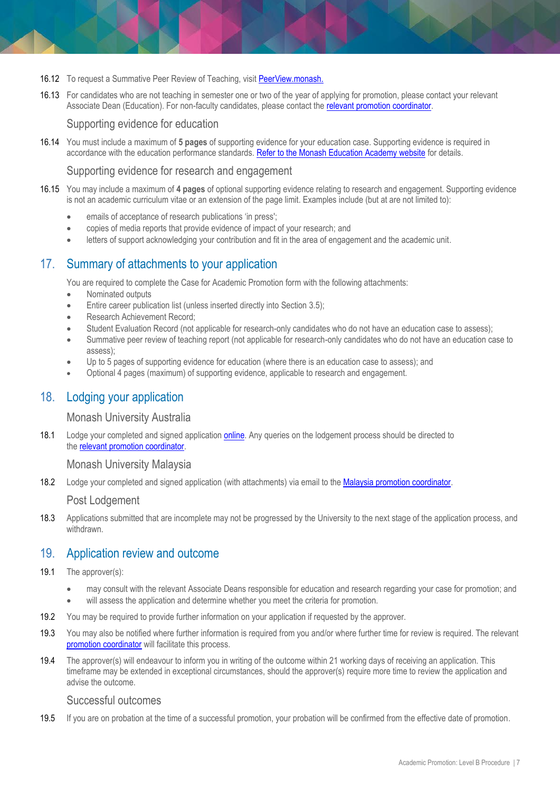- 16.12 To request a Summative Peer Review of Teaching, visit [PeerView.monash.](https://www.monash.edu/learning-teaching/mea/professional-learning-and-practice/peer-review)
- 16.13 For candidates who are not teaching in semester one or two of the year of applying for promotion, please contact your relevant Associate Dean (Education). For non-faculty candidates, please contact the [relevant promotion coordinator.](https://www.monash.edu/academicpromotion/contact-us)

Supporting evidence for education

16.14 You must include a maximum of **5 pages** of supporting evidence for your education case. Supporting evidence is required in accordance with the education performance standards. [Refer to the Monash Education Academy website](https://www.monash.edu/learning-teaching/mea/education-performance-and-recognition/education-performance-standards) for details.

Supporting evidence for research and engagement

- 16.15 You may include a maximum of **4 pages** of optional supporting evidence relating to research and engagement. Supporting evidence is not an academic curriculum vitae or an extension of the page limit. Examples include (but at are not limited to):
	- emails of acceptance of research publications 'in press';
	- copies of media reports that provide evidence of impact of your research; and
	- letters of support acknowledging your contribution and fit in the area of engagement and the academic unit.

## <span id="page-6-0"></span>17. Summary of attachments to your application

You are required to complete th[e Case for Academic Promotion form](https://www.monash.edu/__data/assets/word_doc/0017/1004732/Case-for-Academic-Promotion-Form-Level-B.docx) with the following attachments:

- Nominated outputs
- Entire career publication list (unless inserted directly into Section 3.5);
- Research Achievement Record:
- Student Evaluation Record (not applicable for research-only candidates who do not have an education case to assess);
- Summative peer review of teaching report (not applicable for research-only candidates who do not have an education case to assess);
- Up to 5 pages of supporting evidence for education (where there is an education case to assess); and
- Optional 4 pages (maximum) of supporting evidence, applicable to research and engagement.

## <span id="page-6-1"></span>18. Lodging your application

Monash University Australia

18.1 Lodge your completed and signed application **online**. Any queries on the lodgement process should be directed to the relevant [promotion coordinator.](https://www.monash.edu/academicpromotion/contact-us)

Monash University Malaysia

18.2 Lodge your completed and signed application (with attachments) via email to the [Malaysia promotion coordinator.](https://www.monash.edu/academicpromotion/contact-us)

<span id="page-6-2"></span>Post Lodgement

18.3 Applications submitted that are incomplete may not be progressed by the University to the next stage of the application process, and withdrawn.

## 19. Application review and outcome

- 19.1 The approver(s):
	- may consult with the relevant Associate Deans responsible for education and research regarding your case for promotion; and
	- will assess the application and determine whether you meet the criteria for promotion.
- 19.2 You may be required to provide further information on your application if requested by the approver.
- 19.3 You may also be notified where further information is required from you and/or where further time for review is required. The relevant [promotion coordinator](http://www.adm.monash.edu.au/human-resources/academic-promotion/contact.html) will facilitate this process.
- 19.4 The approver(s) will endeavour to inform you in writing of the outcome within 21 working days of receiving an application. This timeframe may be extended in exceptional circumstances, should the approver(s) require more time to review the application and advise the outcome.

#### Successful outcomes

19.5 If you are on probation at the time of a successful promotion, your probation will be confirmed from the effective date of promotion.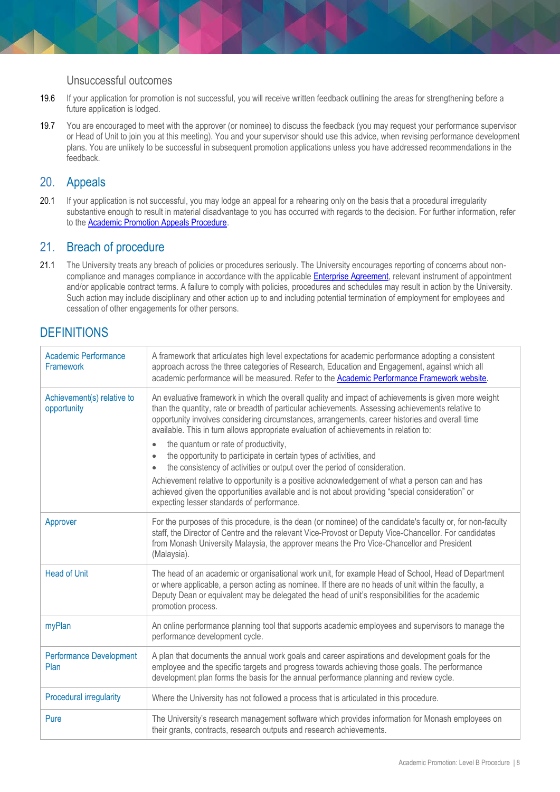#### Unsuccessful outcomes

- 19.6 If your application for promotion is not successful, you will receive written feedback outlining the areas for strengthening before a future application is lodged.
- 19.7 You are encouraged to meet with the approver (or nominee) to discuss the feedback (you may request your performance supervisor or Head of Unit to join you at this meeting). You and your supervisor should use this advice, when revising performance development plans. You are unlikely to be successful in subsequent promotion applications unless you have addressed recommendations in the feedback.

## <span id="page-7-0"></span>20. Appeals

20.1 If your application is not successful, you may lodge an appeal for a rehearing only on the basis that a procedural irregularity substantive enough to result in material disadvantage to you has occurred with regards to the decision. For further information, refer to the [Academic Promotion Appeals Procedure.](https://www.monash.edu/__data/assets/pdf_file/0016/810043/Academic-Promotion-Rehearing.pdf)

## <span id="page-7-1"></span>21. Breach of procedure

21.1 The University treats any breach of policies or procedures seriously. The University encourages reporting of concerns about noncompliance and manages compliance in accordance with the applicabl[e Enterprise Agreement,](https://www.monash.edu/current-enterprise-agreements/academic-professional-2019) relevant instrument of appointment and/or applicable contract terms. A failure to comply with policies, procedures and schedules may result in action by the University. Such action may include disciplinary and other action up to and including potential termination of employment for employees and cessation of other engagements for other persons.

# <span id="page-7-2"></span>**DEFINITIONS**

| <b>Academic Performance</b><br>Framework  | A framework that articulates high level expectations for academic performance adopting a consistent<br>approach across the three categories of Research, Education and Engagement, against which all<br>academic performance will be measured. Refer to the Academic Performance Framework website.                                                                                                                                                                                                                                                                                                                                                                                                                                                                                                                                                               |
|-------------------------------------------|-------------------------------------------------------------------------------------------------------------------------------------------------------------------------------------------------------------------------------------------------------------------------------------------------------------------------------------------------------------------------------------------------------------------------------------------------------------------------------------------------------------------------------------------------------------------------------------------------------------------------------------------------------------------------------------------------------------------------------------------------------------------------------------------------------------------------------------------------------------------|
| Achievement(s) relative to<br>opportunity | An evaluative framework in which the overall quality and impact of achievements is given more weight<br>than the quantity, rate or breadth of particular achievements. Assessing achievements relative to<br>opportunity involves considering circumstances, arrangements, career histories and overall time<br>available. This in turn allows appropriate evaluation of achievements in relation to:<br>the quantum or rate of productivity,<br>the opportunity to participate in certain types of activities, and<br>the consistency of activities or output over the period of consideration.<br>$\bullet$<br>Achievement relative to opportunity is a positive acknowledgement of what a person can and has<br>achieved given the opportunities available and is not about providing "special consideration" or<br>expecting lesser standards of performance. |
| Approver                                  | For the purposes of this procedure, is the dean (or nominee) of the candidate's faculty or, for non-faculty<br>staff, the Director of Centre and the relevant Vice-Provost or Deputy Vice-Chancellor. For candidates<br>from Monash University Malaysia, the approver means the Pro Vice-Chancellor and President<br>(Malaysia).                                                                                                                                                                                                                                                                                                                                                                                                                                                                                                                                  |
| <b>Head of Unit</b>                       | The head of an academic or organisational work unit, for example Head of School, Head of Department<br>or where applicable, a person acting as nominee. If there are no heads of unit within the faculty, a<br>Deputy Dean or equivalent may be delegated the head of unit's responsibilities for the academic<br>promotion process.                                                                                                                                                                                                                                                                                                                                                                                                                                                                                                                              |
| myPlan                                    | An online performance planning tool that supports academic employees and supervisors to manage the<br>performance development cycle.                                                                                                                                                                                                                                                                                                                                                                                                                                                                                                                                                                                                                                                                                                                              |
| <b>Performance Development</b><br>Plan    | A plan that documents the annual work goals and career aspirations and development goals for the<br>employee and the specific targets and progress towards achieving those goals. The performance<br>development plan forms the basis for the annual performance planning and review cycle.                                                                                                                                                                                                                                                                                                                                                                                                                                                                                                                                                                       |
| <b>Procedural irregularity</b>            | Where the University has not followed a process that is articulated in this procedure.                                                                                                                                                                                                                                                                                                                                                                                                                                                                                                                                                                                                                                                                                                                                                                            |
| Pure                                      | The University's research management software which provides information for Monash employees on<br>their grants, contracts, research outputs and research achievements.                                                                                                                                                                                                                                                                                                                                                                                                                                                                                                                                                                                                                                                                                          |